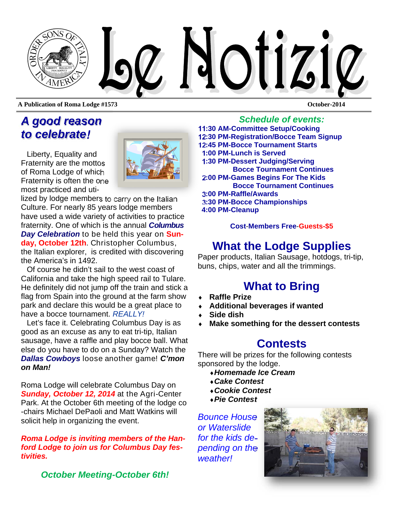

**A Publication of Roma Lodge #1573 October-2014** 

# *A good reason to celebrate!*

Liberty, Equality and Fraternity are the mottos of Roma Lodge of which Fraternity is often the one most practiced and uti-

lized by lodge members to carry on the Italian Culture. For nearly 85 years lodge members have used a wide variety of activities to practice fraternity. One of which is the annual *Columbus Day Celebration* to be held this year on **Sunday, October 12th**. Christopher Columbus, the Italian explorer, is credited with discovering the America's in 1492.

Of course he didn't sail to the west coast of California and take the high speed rail to Tulare. He definitely did not jump off the train and stick a flag from Spain into the ground at the farm show park and declare this would be a great place to have a bocce tournament. *REALLY!* 

Let's face it. Celebrating Columbus Day is as good as an excuse as any to eat tri-tip, Italian sausage, have a raffle and play bocce ball. What else do you have to do on a Sunday? Watch the *Dallas Cowboys* loose another game! *C'mon on Man!* 

Roma Lodge will celebrate Columbus Day on *Sunday, October 12, 2014* at the Agri-Center Park. At the October 6th meeting of the lodge co -chairs Michael DePaoli and Matt Watkins will solicit help in organizing the event.

*Roma Lodge is inviting members of the Hanford Lodge to join us for Columbus Day festivities.* 

*October Meeting-October 6th!* 

### *Schedule of events:*

**11:30 AM-Committee Setup/Cooking 12:30 PM-Registration/Bocce Team Signup 12:45 PM-Bocce Tournament Starts 1:00 PM-Lunch is Served 1:30 PM-Dessert Judging/Serving Bocce Tournament Continues 2:00 PM-Games Begins For The Kids Bocce Tournament Continues 3:00 PM-Raffle/Awards 3:30 PM-Bocce Championships 4:00 PM-Cleanup** 

### **Cost**-**Members Free**-**Guests-\$5**

# **What the Lodge Supplies**

Paper products, Italian Sausage, hotdogs, tri-tip, buns, chips, water and all the trimmings.

# **What to Bring**

- **Raffle Prize**
- **Additional beverages if wanted**
- **Side dish**
- **Make something for the dessert contests**

# **Contests**

There will be prizes for the following contests sponsored by the lodge.

- *Homemade Ice Cream*
- *Cake Contest*
- *Cookie Contest*
- *Pie Contest*

*Bounce House or Waterslide for the kids depending on the weather!* 

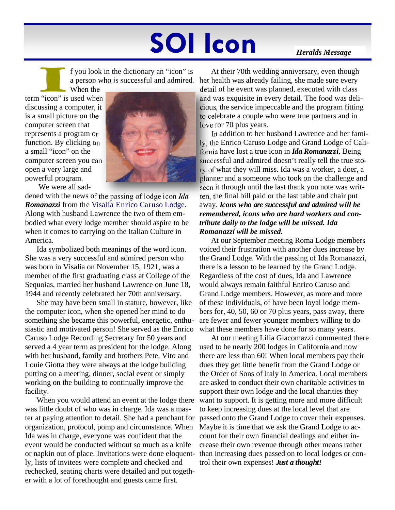# **SOI Icon** *Heralds Message*

# I f you look in the dictionary an "icon" is<br>a person who is successful and admired.<br>When the<br>a "icon" is used when a person who is successful and admired.

When the term "icon" is used when discussing a computer, it is a small picture on the computer screen that represents a program or function. By clicking on a small "icon" on the computer screen you can open a very large and powerful program.



We were all sad-

dened with the news of the passing of lodge icon *Ida Romanazzi* from the Visalia Enrico Caruso Lodge. Along with husband Lawrence the two of them embodied what every lodge member should aspire to be when it comes to carrying on the Italian Culture in America.

Ida symbolized both meanings of the word icon. She was a very successful and admired person who was born in Visalia on November 15, 1921, was a member of the first graduating class at College of the Sequoias, married her husband Lawrence on June 18, 1944 and recently celebrated her 70th anniversary.

She may have been small in stature, however, like the computer icon, when she opened her mind to do something she became this powerful, energetic, enthusiastic and motivated person! She served as the Enrico Caruso Lodge Recording Secretary for 50 years and served a 4 year term as president for the lodge. Along with her husband, family and brothers Pete, Vito and Louie Giotta they were always at the lodge building putting on a meeting, dinner, social event or simply working on the building to continually improve the facility.

When you would attend an event at the lodge there was little doubt of who was in charge. Ida was a master at paying attention to detail. She had a penchant for organization, protocol, pomp and circumstance. When Ida was in charge, everyone was confident that the event would be conducted without so much as a knife or napkin out of place. Invitations were done eloquently, lists of invitees were complete and checked and rechecked, seating charts were detailed and put together with a lot of forethought and guests came first.

At their 70th wedding anniversary, even though her health was already failing, she made sure every detail of he event was planned, executed with class and was exquisite in every detail. The food was delicious, the service impeccable and the program fitting to celebrate a couple who were true partners and in love for 70 plus years.

In addition to her husband Lawrence and her family, the Enrico Caruso Lodge and Grand Lodge of California have lost a true icon in *Ida Romanazzi*. Being successful and admired doesn't really tell the true story of what they will miss. Ida was a worker, a doer, a planner and a someone who took on the challenge and seen it through until the last thank you note was written, the final bill paid or the last table and chair put away. *Icons who are successful and admired will be remembered, icons who are hard workers and contribute daily to the lodge will be missed. Ida Romanazzi will be missed.* 

At our September meeting Roma Lodge members voiced their frustration with another dues increase by the Grand Lodge. With the passing of Ida Romanazzi, there is a lesson to be learned by the Grand Lodge. Regardless of the cost of dues, Ida and Lawrence would always remain faithful Enrico Caruso and Grand Lodge members. However, as more and more of these individuals, of have been loyal lodge members for, 40, 50, 60 or 70 plus years, pass away, there are fewer and fewer younger members willing to do what these members have done for so many years.

At our meeting Lilia Giacomazzi commented there used to be nearly 200 lodges in California and now there are less than 60! When local members pay their dues they get little benefit from the Grand Lodge or the Order of Sons of Italy in America. Local members are asked to conduct their own charitable activities to support their own lodge and the local charities they want to support. It is getting more and more difficult to keep increasing dues at the local level that are passed onto the Grand Lodge to cover their expenses. Maybe it is time that we ask the Grand Lodge to account for their own financial dealings and either increase their own revenue through other means rather than increasing dues passed on to local lodges or control their own expenses! *Just a thought!*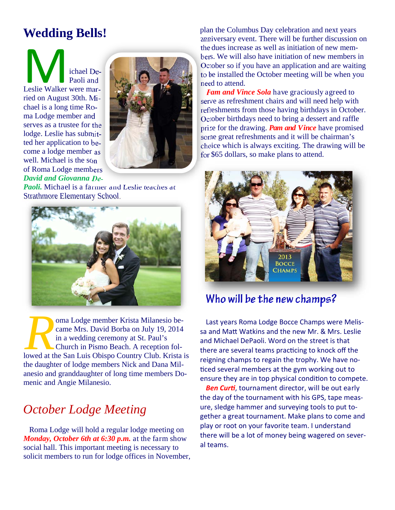# **Wedding Bells!**

Michael De-Paoli and Paoli and ried on August 30th. Michael is a long time Roma Lodge member and serves as a trustee for the lodge. Leslie has submitted her application to become a lodge member as well. Michael is the son of Roma Lodge members *David and Giovanna De-*



*Paoli.* Michael is a farmer and Leslie teaches at Strathmore Elementary School.



**R and Solution Concept Countries Countries Countries Church in Pismo Beach.** A reception followed at the San Luis Obispo Country Club. Krista is came Mrs. David Borba on July 19, 2014 in a wedding ceremony at St. Paul's Church in Pismo Beach. A reception folthe daughter of lodge members Nick and Dana Milanesio and granddaughter of long time members Domenic and Angie Milanesio.

# *October Lodge Meeting*

Roma Lodge will hold a regular lodge meeting on *Monday, October 6th at 6:30 p.m.* at the farm show social hall. This important meeting is necessary to solicit members to run for lodge offices in November, plan the Columbus Day celebration and next years anniversary event. There will be further discussion on the dues increase as well as initiation of new members. We will also have initiation of new members in October so if you have an application and are waiting to be installed the October meeting will be when you need to attend.

*Pam and Vince Sola* have graciously agreed to serve as refreshment chairs and will need help with refreshments from those having birthdays in October. October birthdays need to bring a dessert and raffle prize for the drawing. *Pam and Vince* have promised some great refreshments and it will be chairman's choice which is always exciting. The drawing will be for \$65 dollars, so make plans to attend.



# **Who will be the new champs?**

Last years Roma Lodge Bocce Champs were Melissa and Matt Watkins and the new Mr. & Mrs. Leslie and Michael DePaoli. Word on the street is that there are several teams practicing to knock off the reigning champs to regain the trophy. We have noticed several members at the gym working out to ensure they are in top physical condition to compete.

**Ben Curti**, tournament director, will be out early the day of the tournament with his GPS, tape measure, sledge hammer and surveying tools to put together a great tournament. Make plans to come and play or root on your favorite team. I understand there will be a lot of money being wagered on several teams.